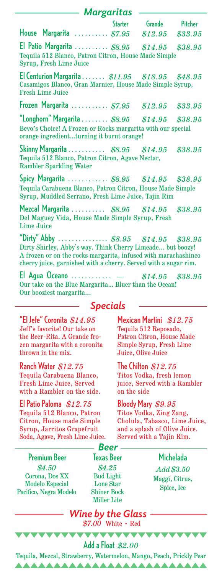| — Margaritas                                                                                                                                                                                                                            |                                                                                                                                 |                  |         |
|-----------------------------------------------------------------------------------------------------------------------------------------------------------------------------------------------------------------------------------------|---------------------------------------------------------------------------------------------------------------------------------|------------------|---------|
|                                                                                                                                                                                                                                         | Starter                                                                                                                         | Grande           | Pitcher |
| House Margarita $\ldots \ldots \ldots$ \$7.95                                                                                                                                                                                           |                                                                                                                                 | $$12.95$ \$33.95 |         |
| El Patio Margarita $$8.95$ $$14.95$ $$38.95$<br>Tequila 512 Blanco, Patron Citron, House Made Simple<br>Syrup, Fresh Lime Juice                                                                                                         |                                                                                                                                 |                  |         |
| El Centurion Margarita $\ldots \ldots$ \$11.95 \$18.95 \$48.95<br>Casamigos Blanco, Gran Marnier, House Made Simple Syrup,<br><b>Fresh Lime Juice</b>                                                                                   |                                                                                                                                 |                  |         |
| Frozen Margarita $$7.95$ $$12.95$ $$33.95$                                                                                                                                                                                              |                                                                                                                                 |                  |         |
| "Longhorn" Margarita \$8.95 \$14.95 \$38.95<br>Bevo's Choice! A Frozen or Rocks margarita with our special<br>orange ingredientturning it burnt orange!                                                                                 |                                                                                                                                 |                  |         |
| Skinny Margarita $\ldots \ldots \ldots$ \$8.95 \$14.95<br>\$38.95<br>Tequila 512 Blanco, Patron Citron, Agave Nectar,<br><b>Rambler Sparkling Water</b>                                                                                 |                                                                                                                                 |                  |         |
| Spicy Margarita  \$8.95 \$14.95 \$38.95<br>Tequila Carabuena Blanco, Patron Citron, House Made Simple<br>Syrup, Muddled Serrano, Fresh Lime Juice, Tajin Rim                                                                            |                                                                                                                                 |                  |         |
| Mezcal Margarita  \$8.95 \$14.95 \$38.95<br>Del Maguey Vida, House Made Simple Syrup, Fresh<br><b>Lime Juice</b>                                                                                                                        |                                                                                                                                 |                  |         |
| "Dirty" Abby  \$8.95 \$14.95 \$38.95<br>Dirty Shirley, Abby's way. Think Cherry Limeade but boozy!<br>A frozen or on the rocks margarita, infused with marachashinco<br>cherry juice, garnished with a cherry. Served with a sugar rim. |                                                                                                                                 |                  |         |
| El Agua Oceano $-$ \$14.95 \$38.95<br>Our take on the Blue Margarita Bluer than the Ocean!<br>Our booziest margarita                                                                                                                    |                                                                                                                                 |                  |         |
| <b>Specials</b>                                                                                                                                                                                                                         |                                                                                                                                 |                  |         |
| "El Jefe" Coronita \$14.95<br>Jeff's favorite! Our take on<br>the Beer-Rita. A Grande fro-<br>zen margarita with a coronita<br>thrown in the mix.                                                                                       | Mexican Martini \$12.75<br>Tequila 512 Reposado,<br>Patron Citron, House Made<br>Simple Syrup, Fresh Lime<br>Juice, Olive Juice |                  |         |
| Ranch Water $$12.75$<br>Tequila Carabuena Blanco,<br><b>Fresh Lime Juice, Served</b><br>with a Rambler on the side.                                                                                                                     | The Chilton $$12.75$<br>Titos Vodka, fresh lemon<br>juice, Served with a Rambler<br>on the side                                 |                  |         |
| El Patio Paloma $$12.75$<br>Tequila 512 Blanco, Patron<br>Citron, House made Simple<br>Syrup, Jarritos Grapefruit                                                                                                                       | Bloody Mary \$9.95<br>Titos Vodka, Zing Zang,<br>Cholula, Tabasco, Lime Juice,<br>and a splash of Olive Juice.                  |                  |         |

Syrup, Jarritos Grapefruit Soda, Agave, Fresh Lime Juice. Served with a Tajin Rim. *Beer*

Premium Beer Texas Beer Michelada *\$4.50* Corona, Dos XX Modelo Especial Pacifico, Negra Modelo

*\$4.25*  Bud Light Lone Star Shiner Bock Miller Lite

*Add \$3.50* Maggi, Citrus, Spice, Ice

*Wine by the Glass \$7.00* White • Red

Tequila, Mezcal, Strawberry, Watermelon, Mango, Peach, Prickly Pear Add a Float *\$2.00*